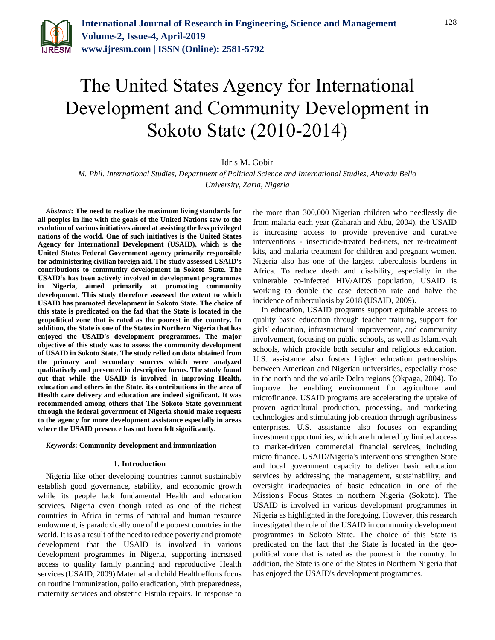

# The United States Agency for International Development and Community Development in Sokoto State (2010-2014)

Idris M. Gobir

*M. Phil. International Studies, Department of Political Science and International Studies, Ahmadu Bello University, Zaria, Nigeria*

*Abstract***: The need to realize the maximum living standards for all peoples in line with the goals of the United Nations saw to the evolution of various initiatives aimed at assisting the less privileged nations of the world. One of such initiatives is the United States Agency for International Development (USAID), which is the United States Federal Government agency primarily responsible for administering civilian foreign aid. The study assessed USAID's contributions to community development in Sokoto State. The USAID's has been actively involved in development programmes in Nigeria, aimed primarily at promoting community development. This study therefore assessed the extent to which USAID has promoted development in Sokoto State. The choice of this state is predicated on the fad that the State is located in the geopolitical zone that is rated as the poorest in the country. In addition, the State is one of the States in Northern Nigeria that has enjoyed the USAID's development programmes. The major objective of this study was to assess the community development of USAID in Sokoto State. The study relied on data obtained from the primary and secondary sources which were analyzed qualitatively and presented in descriptive forms. The study found out that while the USAID is involved in improving Health, education and others in the State, its contributions in the area of Health care delivery and education are indeed significant. It was recommended among others that The Sokoto State government through the federal government of Nigeria should make requests to the agency for more development assistance especially in areas where the USAID presence has not been felt significantly.**

#### *Keywords***: Community development and immunization**

#### **1. Introduction**

Nigeria like other developing countries cannot sustainably establish good governance, stability, and economic growth while its people lack fundamental Health and education services. Nigeria even though rated as one of the richest countries in Africa in terms of natural and human resource endowment, is paradoxically one of the poorest countries in the world. It is as a result of the need to reduce poverty and promote development that the USAID is involved in various development programmes in Nigeria, supporting increased access to quality family planning and reproductive Health services (USAID, 2009) Maternal and child Health efforts focus on routine immunization, polio eradication, birth preparedness, maternity services and obstetric Fistula repairs. In response to

the more than 300,000 Nigerian children who needlessly die from malaria each year (Zaharah and Abu, 2004), the USAID is increasing access to provide preventive and curative interventions - insecticide-treated bed-nets, net re-treatment kits, and malaria treatment for children and pregnant women. Nigeria also has one of the largest tuberculosis burdens in Africa. To reduce death and disability, especially in the vulnerable co-infected HIV/AIDS population, USAID is working to double the case detection rate and halve the incidence of tuberculosis by 2018 (USAID, 2009).

In education, USAID programs support equitable access to quality basic education through teacher training, support for girls' education, infrastructural improvement, and community involvement, focusing on public schools, as well as Islamiyyah schools, which provide both secular and religious education. U.S. assistance also fosters higher education partnerships between American and Nigerian universities, especially those in the north and the volatile Delta regions (Okpaga, 2004). To improve the enabling environment for agriculture and microfinance, USAID programs are accelerating the uptake of proven agricultural production, processing, and marketing technologies and stimulating job creation through agribusiness enterprises. U.S. assistance also focuses on expanding investment opportunities, which are hindered by limited access to market-driven commercial financial services, including micro finance. USAID/Nigeria's interventions strengthen State and local government capacity to deliver basic education services by addressing the management, sustainability, and oversight inadequacies of basic education in one of the Mission's Focus States in northern Nigeria (Sokoto). The USAID is involved in various development programmes in Nigeria as highlighted in the foregoing. However, this research investigated the role of the USAID in community development programmes in Sokoto State. The choice of this State is predicated on the fact that the State is located in the geopolitical zone that is rated as the poorest in the country. In addition, the State is one of the States in Northern Nigeria that has enjoyed the USAID's development programmes.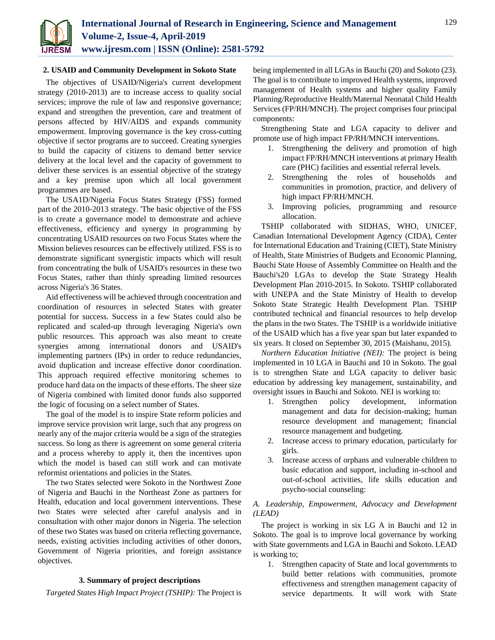

#### **2. USAID and Community Development in Sokoto State**

The objectives of USAID/Nigeria's current development strategy (2010-2013) are to increase access to quality social services; improve the rule of law and responsive governance; expand and strengthen the prevention, care and treatment of persons affected by HIV/AIDS and expands community empowerment. Improving governance is the key cross-cutting objective if sector programs are to succeed. Creating synergies to build the capacity of citizens to demand better service delivery at the local level and the capacity of government to deliver these services is an essential objective of the strategy and a key premise upon which all local government programmes are based.

The USA1D/Nigeria Focus States Strategy (FSS) formed part of the 2010-2013 strategy. 'The basic objective of the FSS is to create a governance model to demonstrate and achieve effectiveness, efficiency and synergy in programming by concentrating USAID resources on two Focus States where the Mission believes resources can be effectively utilized. FSS is to demonstrate significant synergistic impacts which will result from concentrating the bulk of USAID's resources in these two Focus States, rather than thinly spreading limited resources across Nigeria's 36 States.

Aid effectiveness will be achieved through concentration and coordination of resources in selected States with greater potential for success. Success in a few States could also be replicated and scaled-up through leveraging Nigeria's own public resources. This approach was also meant to create synergies among international donors and USAID's implementing partners (IPs) in order to reduce redundancies, avoid duplication and increase effective donor coordination. This approach required effective monitoring schemes to produce hard data on the impacts of these efforts. The sheer size of Nigeria combined with limited donor funds also supported the logic of focusing on a select number of States.

The goal of the model is to inspire State reform policies and improve service provision writ large, such that any progress on nearly any of the major criteria would be a sign of the strategies success. So long as there is agreement on some general criteria and a process whereby to apply it, then the incentives upon which the model is based can still work and can motivate reformist orientations and policies in the States.

The two States selected were Sokoto in the Northwest Zone of Nigeria and Bauchi in the Northeast Zone as partners for Health, education and local government interventions. These two States were selected after careful analysis and in consultation with other major donors in Nigeria. The selection of these two States was based on criteria reflecting governance, needs, existing activities including activities of other donors, Government of Nigeria priorities, and foreign assistance objectives.

#### **3. Summary of project descriptions**

*Targeted States High Impact Project (TSHIP):* The Project is

being implemented in all LGAs in Bauchi (20) and Sokoto (23). The goal is to contribute to improved Health systems, improved management of Health systems and higher quality Family Planning/Reproductive Health/Maternal Neonatal Child Health Services (FP/RH/MNCH). The project comprises four principal components:

Strengthening State and LGA capacity to deliver and promote use of high impact FP/RH/MNCH interventions.

- 1. Strengthening the delivery and promotion of high impact FP/RH/MNCH interventions at primary Health care (PHC) facilities and essential referral levels.
- 2. Strengthening the roles of households and communities in promotion, practice, and delivery of high impact FP/RH/MNCH.
- 3. Improving policies, programming and resource allocation.

TSHIP collaborated with SIDHAS, WHO, UNICEF, Canadian International Development Agency (CIDA), Center for International Education and Training (CIET), State Ministry of Health, State Ministries of Budgets and Economic Planning, Bauchi State House of Assembly Committee on Health and the Bauchi's20 LGAs to develop the State Strategy Health Development Plan 2010-2015. In Sokoto. TSHIP collaborated with UNEPA and the State Ministry of Health to develop Sokoto State Strategic Health Development Plan. TSHIP contributed technical and financial resources to help develop the plans in the two States. The TSHIP is a worldwide initiative of the USAID which has a five year span but later expanded to six years. It closed on September 30, 2015 (Maishanu, 2015).

*Northern Education Initiative (NEI):* The project is being implemented in 10 LGA in Bauchi and 10 in Sokoto. The goal is to strengthen State and LGA capacity to deliver basic education by addressing key management, sustainability, and oversight issues in Bauchi and Sokoto. NEI is working to:

- 1. Strengthen policy development, information management and data for decision-making; human resource development and management; financial resource management and budgeting.
- 2. Increase access to primary education, particularly for girls.
- 3. Increase access of orphans and vulnerable children to basic education and support, including in-school and out-of-school activities, life skills education and psycho-social counseling:

## *A. Leadership, Empowerment, Advocacy and Development (LEAD)*

The project is working in six LG A in Bauchi and 12 in Sokoto. The goal is to improve local governance by working with State governments and LGA in Bauchi and Sokoto. LEAD is working to;

1. Strengthen capacity of State and local governments to build better relations with communities, promote effectiveness and strengthen management capacity of service departments. It will work with State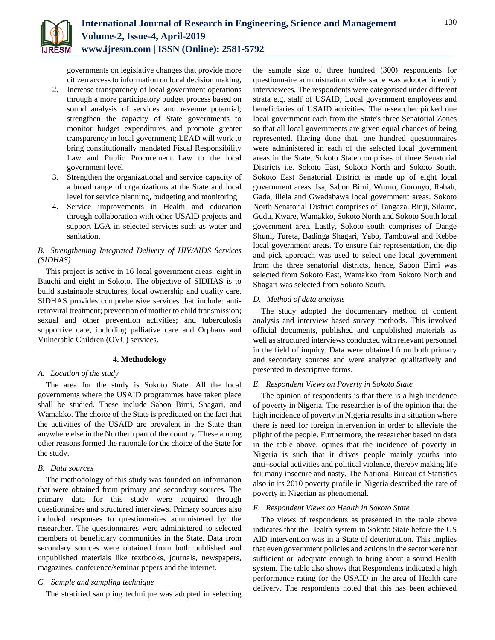

governments on legislative changes that provide more citizen access to information on local decision making,

- 2. Increase transparency of local government operations through a more participatory budget process based on sound analysis of services and revenue potential; strengthen the capacity of State governments to monitor budget expenditures and promote greater transparency in local government; LEAD will work to bring constitutionally mandated Fiscal Responsibility Law and Public Procurement Law to the local government level
- 3. Strengthen the organizational and service capacity of a broad range of organizations at the State and local level for service planning, budgeting and monitoring
- 4. Service improvements in Health and education through collaboration with other USAID projects and support LGA in selected services such as water and sanitation.

# *B. Strengthening Integrated Delivery of HIV/AIDS Services (SIDHAS)*

This project is active in 16 local government areas: eight in Bauchi and eight in Sokoto. The objective of SIDHAS is to build sustainable structures, local ownership and quality care. SIDHAS provides comprehensive services that include: antiretroviral treatment; prevention of mother to child transmission; sexual and other prevention activities; and tuberculosis supportive care, including palliative care and Orphans and Vulnerable Children (OVC) services.

## **4. Methodology**

## *A. Location of the study*

The area for the study is Sokoto State. All the local governments where the USAID programmes have taken place shall be studied. These include Sabon Birni, Shagari, and Wamakko. The choice of the State is predicated on the fact that the activities of the USAID are prevalent in the State than anywhere else in the Northern part of the country. These among other reasons formed the rationale for the choice of the State for the study.

## *B. Data sources*

The methodology of this study was founded on information that were obtained from primary and secondary sources. The primary data for this study were acquired through questionnaires and structured interviews. Primary sources also included responses to questionnaires administered by the researcher. The questionnaires were administered to selected members of beneficiary communities in the State. Data from secondary sources were obtained from both published and unpublished materials like textbooks, journals, newspapers, magazines, conference/seminar papers and the internet.

## *C. Sample and sampling technique*

The stratified sampling technique was adopted in selecting

the sample size of three hundred (300) respondents for questionnaire administration while same was adopted identify interviewees. The respondents were categorised under different strata e.g. staff of USAID, Local government employees and beneficiaries of USAID activities. The researcher picked one local government each from the State's three Senatorial Zones so that all local governments are given equal chances of being represented. Having done that, one hundred questionnaires were administered in each of the selected local government areas in the State. Sokoto State comprises of three Senatorial Districts i.e. Sokoto East, Sokoto North and Sokoto South. Sokoto East Senatorial District is made up of eight local government areas. Isa, Sabon Birni, Wurno, Goronyo, Rabah, Gada, illela and Gwadabawa local government areas. Sokoto North Senatorial District comprises of Tangaza, Binji, Silaure, Gudu, Kware, Wamakko, Sokoto North and Sokoto South local government area. Lastly, Sokoto south comprises of Dange Shuni, Tureta, Badinga Shagari, Yabo, Tambuwal and Kebbe local government areas. To ensure fair representation, the dip and pick approach was used to select one local government from the three senatorial districts, hence, Sabon Birni was selected from Sokoto East, Wamakko from Sokoto North and Shagari was selected from Sokoto South.

## *D. Method of data analysis*

The study adopted the documentary method of content analysis and interview based survey methods. This involved official documents, published and unpublished materials as well as structured interviews conducted with relevant personnel in the field of inquiry. Data were obtained from both primary and secondary sources and were analyzed qualitatively and presented in descriptive forms.

## *E. Respondent Views on Poverty in Sokoto State*

The opinion of respondents is that there is a high incidence of poverty in Nigeria. The researcher is of the opinion that the high incidence of poverty in Nigeria results in a situation where there is need for foreign intervention in order to alleviate the plight of the people. Furthermore, the researcher based on data in the table above, opines that the incidence of poverty in Nigeria is such that it drives people mainly youths into anti¬social activities and political violence, thereby making life for many insecure and nasty. The National Bureau of Statistics also in its 2010 poverty profile in Nigeria described the rate of poverty in Nigerian as phenomenal.

## *F. Respondent Views on Health in Sokoto State*

The views of respondents as presented in the table above indicates that the Health system in Sokoto State before the US AID intervention was in a State of deterioration. This implies that even government policies and actions in the sector were not sufficient or 'adequate enough to bring about a sound Health system. The table also shows that Respondents indicated a high performance rating for the USAID in the area of Health care delivery. The respondents noted that this has been achieved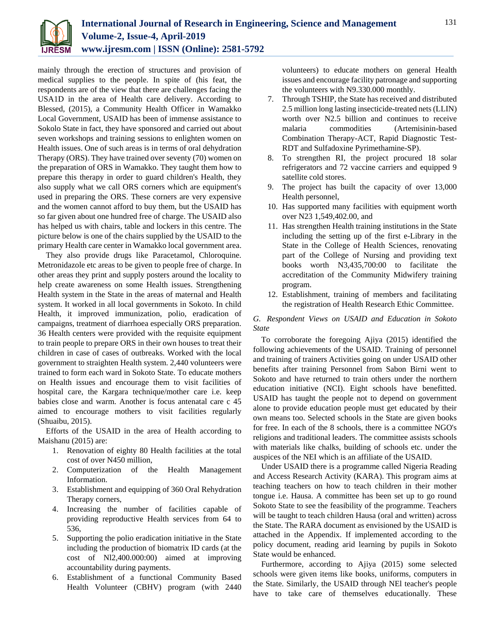

mainly through the erection of structures and provision of medical supplies to the people. In spite of (his feat, the respondents are of the view that there are challenges facing the USA1D in the area of Health care delivery. According to Blessed, (2015), a Community Health Officer in Wamakko Local Government, USAID has been of immense assistance to Sokolo State in fact, they have sponsored and carried out about seven workshops and training sessions to enlighten women on Health issues. One of such areas is in terms of oral dehydration Therapy (ORS). They have trained over seventy (70) women on the preparation of ORS in Wamakko. They taught them how to prepare this therapy in order to guard children's Health, they also supply what we call ORS corners which are equipment's used in preparing the ORS. These corners are very expensive and the women cannot afford to buy them, but the USAID has so far given about one hundred free of charge. The USAID also has helped us with chairs, table and lockers in this centre. The picture below is one of the chairs supplied by the USAID to the primary Health care center in Wamakko local government area.

They also provide drugs like Paracetamol, Chloroquine. Metronidazole etc areas to be given to people free of charge. In other areas they print and supply posters around the locality to help create awareness on some Health issues. Strengthening Health system in the State in the areas of maternal and Health system. It worked in all local governments in Sokoto. In child Health, it improved immunization, polio, eradication of campaigns, treatment of diarrhoea especially ORS preparation. 36 Health centers were provided with the requisite equipment to train people to prepare ORS in their own houses to treat their children in case of cases of outbreaks. Worked with the local government to straighten Health system. 2,440 volunteers were trained to form each ward in Sokoto State. To educate mothers on Health issues and encourage them to visit facilities of hospital care, the Kargara technique/mother care i.e. keep babies close and warm. Another is focus antenatal care c 45 aimed to encourage mothers to visit facilities regularly (Shuaibu, 2015).

Efforts of the USAID in the area of Health according to Maishanu (2015) are:

- 1. Renovation of eighty 80 Health facilities at the total cost of over N450 million,
- 2. Computerization of the Health Management Information.
- 3. Establishment and equipping of 360 Oral Rehydration Therapy corners,
- 4. Increasing the number of facilities capable of providing reproductive Health services from 64 to 536,
- 5. Supporting the polio eradication initiative in the State including the production of biomatrix ID cards (at the cost of Nl2,400.000:00) aimed at improving accountability during payments.
- 6. Establishment of a functional Community Based Health Volunteer (CBHV) program (with 2440

volunteers) to educate mothers on general Health issues and encourage facility patronage and supporting the volunteers with N9.330.000 monthly.

- 7. Through TSHIP, the State has received and distributed 2.5 million long lasting insecticide-treated nets (LLIN) worth over N2.5 billion and continues to receive malaria commodities (Artemisinin-based Combination Therapy-ACT, Rapid Diagnostic Test-RDT and Sulfadoxine Pyrimethamine-SP).
- 8. To strengthen RI, the project procured 18 solar refrigerators and 72 vaccine carriers and equipped 9 satellite cold stores.
- 9. The project has built the capacity of over 13,000 Health personnel,
- 10. Has supported many facilities with equipment worth over N23 1,549,402.00, and
- 11. Has strengthen Health training institutions in the State including the setting up of the first e-Library in the State in the College of Health Sciences, renovating part of the College of Nursing and providing text books worth N3,435,700:00 to facilitate the accreditation of the Community Midwifery training program.
- 12. Establishment, training of members and facilitating the registration of Health Research Ethic Committee.

*G. Respondent Views on USAID and Education in Sokoto State*

To corroborate the foregoing Ajiya (2015) identified the following achievements of the USAID. Training of personnel and training of trainers Activities going on under USAID other benefits after training Personnel from Sabon Birni went to Sokoto and have returned to train others under the northern education initiative (NCI). Eight schools have benefitted. USAID has taught the people not to depend on government alone to provide education people must get educated by their own means too. Selected schools in the State are given books for free. In each of the 8 schools, there is a committee NGO's religions and traditional leaders. The committee assists schools with materials like chalks, building of schools etc. under the auspices of the NEI which is an affiliate of the USAID.

Under USAID there is a programme called Nigeria Reading and Access Research Activity (KARA). This program aims at teaching teachers on how to teach children in their mother tongue i.e. Hausa. A committee has been set up to go round Sokoto State to see the feasibility of the programme. Teachers will be taught to teach children Hausa (oral and written) across the State. The RARA document as envisioned by the USAID is attached in the Appendix. If implemented according to the policy document, reading arid learning by pupils in Sokoto State would be enhanced.

Furthermore, according to Ajiya (2015) some selected schools were given items like books, uniforms, computers in the State. Similarly, the USAID through NEl teacher's people have to take care of themselves educationally. These